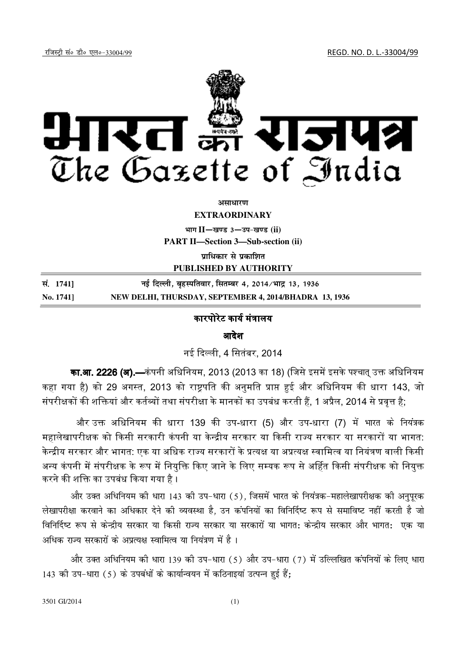jftLVªh laö Mhö ,yö&33004@99 REGD. NO. D. L.-33004/99



असाधार**ण** 

**EXTRAORDINARY**

**Hkkx II**—**[k.M 3**—**mi&[k.M (ii)** 

**PART II—Section 3—Sub-section (ii)**

**un**धिकार से प्रकाशित

**PUBLISHED BY AUTHORITY**

| सं. 17411 | नई दिल्ली, बृहस्पतिवार, सितम्बर 4, 2014/भाद्र 13, 1936 |
|-----------|--------------------------------------------------------|
| No. 1741] | NEW DELHI, THURSDAY, SEPTEMBER 4, 2014/BHADRA 13, 1936 |

## कारपोरेट कार्य मंत्रालय

आदेश

नई दली, 4 िसतंबर, 2014

का.आ. 2226 (अ).—कंपनी अधिनियम, 2013 (2013 का 18) (जिसे इसमें इसके पश्चात् उक्त अधिनियम कहा गया है) को 29 अगस्त, 2013 को राष्ट्रपति की अनुमति प्राप्त हुई और अधिनियम की धारा 143, जो संपरीक्षकों की शक्तियां और कर्तव्यों तथा संपरीक्षा के मानकों का उपबंध करती हैं, 1 अप्रैल, 2014 से प्रवृत्त है;

और उक्त अधिनियम की धारा 139 की उप-धारा (5) और उप-धारा (7) में भारत के नियंत्रक महालेखापरीक्षक को किसी सरकारी कंपनी या केन्द्रीय सरकार या किसी राज्य सरकार या सरकारों या भागत: केन्द्रीय सरकार और भागत: एक या अधिक राज्य सरकारों के प्रत्यक्ष या अप्रत्यक्ष स्वामित्व या नियंत्रण वाली किसी अन्य कंपनी में संपरीक्षक के रूप में नियुक्ति किए जाने के लिए सम्यक रूप से अर्हित किसी संपरीक्षक को नियुक्त करने की शक्ति का उपबंध किया गया है ।

और उक्त अधिनियम की धारा 143 की उप-धारा (5), जिसमें भारत के नियंत्रक-महालेखापरीक्षक की अनुपूरक लेखापरीक्षा करवाने का अधिकार देने की व्यवस्था है. उन कंपनियों का विनिर्दिष्ट रूप से समाविष्ट नहीं करती है जो विनिर्दिष्ट रूप से केन्द्रीय सरकार या किसी राज्य सरकार या सरकारों या भागत: केन्द्रीय सरकार और भागत: एक या अधिक राज्य सरकारों के अप्रत्यक्ष स्वामित्व या नियंत्रण में है।

और उक्त अधिनियम की धारा 139 की उप-धारा (5) और उप-धारा (7) में उल्लिखित कंपनियों के लिए धारा 143 की उप-धारा (5) के उपबंधों के कार्यान्वयन में कठिनाइयां उत्पन्न हुई हैं;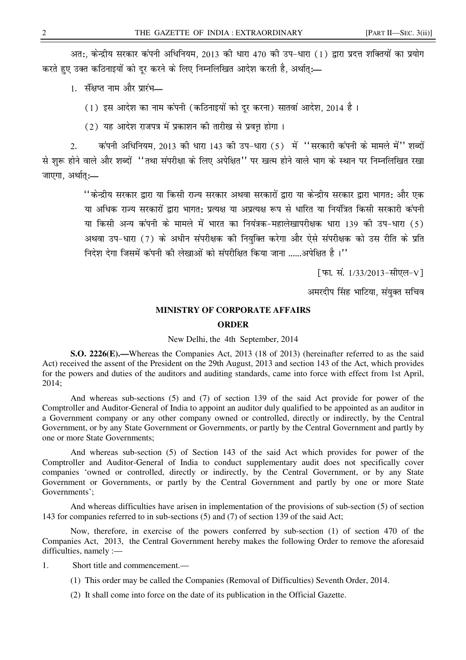अत:, केन्द्रीय सरकार कंपनी अधिनियम, 2013 की धारा 470 की उप-धारा (1) द्वारा प्रदत्त शक्तियों का प्रयोग करते हुए उक्त कठिनाइयों को दुर करने के लिए निम्नलिखित आदेश करती है, अर्थात:—

1. संक्षप्त नाम और प्रारंभ-

(1) इस आदेश का नाम कंपनी (कठिनाइयों को दर करना) सातवां आदेश, 2014 है।

(2) यह आदेश राजपत्र में प्रकाशन की तारीख से प्रवृत्त होगा।

कंपनी अधिनियम. 2013 की धारा 143 की उप-धारा (5) में ''सरकारी कंपनी के मामले में'' शब्दों  $2<sub>1</sub>$ से शुरू होने वाले और शब्दों ''तथा संपरीक्षा के लिए अपेक्षित'' पर खत्म होने वाले भाग के स्थान पर निम्नलिखित रखा जाएगा, अर्थात:-

> ''केन्द्रीय सरकार द्वारा या किसी राज्य सरकार अथवा सरकारों द्वारा या केन्द्रीय सरकार द्वारा भागत: और एक या अधिक राज्य सरकारों द्वारा भागत: प्रत्यक्ष या अप्रत्यक्ष रूप से धारित या नियंत्रित किसी सरकारी कंपनी या किसी अन्य कंपनी के मामले में भारत का नियंत्रक-महालेखापरीक्षक धारा 139 की उप-धारा (5) अथवा उप-धारा (7) के अधीन संपरीक्षक की नियुक्ति करेगा और ऐसे संपरीक्षक को उस रीति के प्रति निदेश देगा जिसमें कंपनी की लेखाओं को संपरीक्षित किया जाना ......अपेक्षित है।''

> > [फा. सं. 1/33/2013-सीएल-V]

अमरदीप सिंह भाटिया, संयुक्त सचिव

## **MINISTRY OF CORPORATE AFFAIRS**

## **ORDER**

## New Delhi, the 4th September, 2014

**S.O. 2226(E).**—Whereas the Companies Act, 2013 (18 of 2013) (hereinafter referred to as the said Act) received the assent of the President on the 29th August, 2013 and section 143 of the Act, which provides for the powers and duties of the auditors and auditing standards, came into force with effect from 1st April.  $2014:$ 

And whereas sub-sections (5) and (7) of section 139 of the said Act provide for power of the Comptroller and Auditor-General of India to appoint an auditor duly qualified to be appointed as an auditor in a Government company or any other company owned or controlled, directly or indirectly, by the Central Government, or by any State Government or Governments, or partly by the Central Government and partly by one or more State Governments:

And whereas sub-section (5) of Section 143 of the said Act which provides for power of the Comptroller and Auditor-General of India to conduct supplementary audit does not specifically cover companies 'owned or controlled, directly or indirectly, by the Central Government, or by any State Government or Governments, or partly by the Central Government and partly by one or more State Governments':

And whereas difficulties have arisen in implementation of the provisions of sub-section (5) of section 143 for companies referred to in sub-sections (5) and (7) of section 139 of the said Act;

Now, therefore, in exercise of the powers conferred by sub-section (1) of section 470 of the Companies Act, 2013, the Central Government hereby makes the following Order to remove the aforesaid difficulties, namely  $:=$ 

 $1.$ Short title and commencement.—

- (1) This order may be called the Companies (Removal of Difficulties) Seventh Order, 2014.
- (2) It shall come into force on the date of its publication in the Official Gazette.